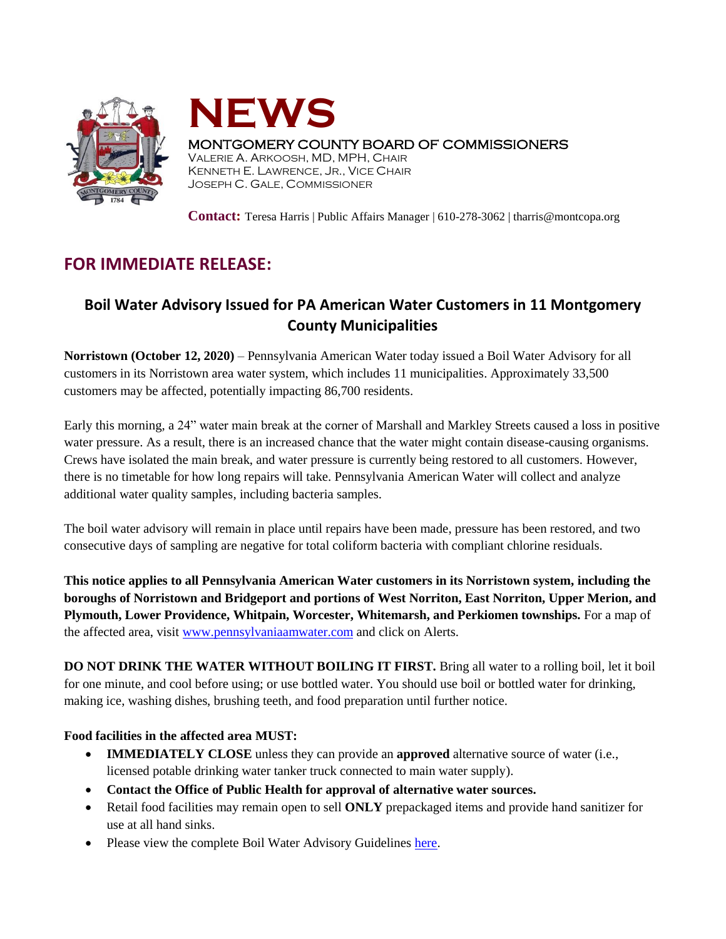



## MONTGOMERY COUNTY BOARD OF COMMISSIONERS

VALERIE A. ARKOOSH, MD, MPH, CHAIR KENNETH E. LAWRENCE, JR., VICE CHAIR JOSEPH C. GALE, COMMISSIONER

**Contact:** Teresa Harris | Public Affairs Manager | 610-278-3062 | tharris@montcopa.org

## **FOR IMMEDIATE RELEASE:**

## **Boil Water Advisory Issued for PA American Water Customers in 11 Montgomery County Municipalities**

**Norristown (October 12, 2020)** – Pennsylvania American Water today issued a Boil Water Advisory for all customers in its Norristown area water system, which includes 11 municipalities. Approximately 33,500 customers may be affected, potentially impacting 86,700 residents.

Early this morning, a 24" water main break at the corner of Marshall and Markley Streets caused a loss in positive water pressure. As a result, there is an increased chance that the water might contain disease-causing organisms. Crews have isolated the main break, and water pressure is currently being restored to all customers. However, there is no timetable for how long repairs will take. Pennsylvania American Water will collect and analyze additional water quality samples, including bacteria samples.

The boil water advisory will remain in place until repairs have been made, pressure has been restored, and two consecutive days of sampling are negative for total coliform bacteria with compliant chlorine residuals.

**This notice applies to all Pennsylvania American Water customers in its Norristown system, including the boroughs of Norristown and Bridgeport and portions of West Norriton, East Norriton, Upper Merion, and Plymouth, Lower Providence, Whitpain, Worcester, Whitemarsh, and Perkiomen townships.** For a map of the affected area, visit [www.pennsylvaniaamwater.com](http://www.pennsylvaniaamwater.com/) and click on Alerts.

**DO NOT DRINK THE WATER WITHOUT BOILING IT FIRST.** Bring all water to a rolling boil, let it boil for one minute, and cool before using; or use bottled water. You should use boil or bottled water for drinking, making ice, washing dishes, brushing teeth, and food preparation until further notice.

## **Food facilities in the affected area MUST:**

- **IMMEDIATELY CLOSE** unless they can provide an **approved** alternative source of water (i.e., licensed potable drinking water tanker truck connected to main water supply).
- **Contact the Office of Public Health for approval of alternative water sources.**
- Retail food facilities may remain open to sell **ONLY** prepackaged items and provide hand sanitizer for use at all hand sinks.
- Please view the complete Boil Water Advisory Guideline[s here.](https://www.montcopa.org/DocumentCenter/View/25420/BWA-Guidelines-2020?bidId=)